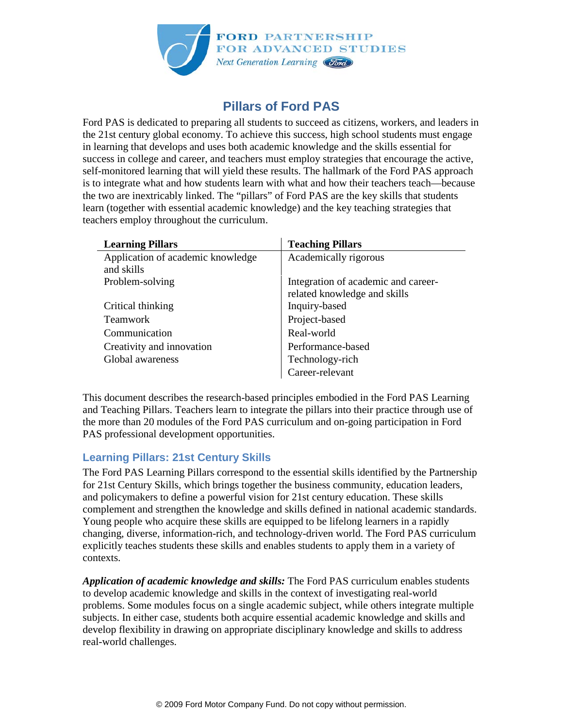

## **Pillars of Ford PAS**

Ford PAS is dedicated to preparing all students to succeed as citizens, workers, and leaders in the 21st century global economy. To achieve this success, high school students must engage in learning that develops and uses both academic knowledge and the skills essential for success in college and career, and teachers must employ strategies that encourage the active, self-monitored learning that will yield these results. The hallmark of the Ford PAS approach is to integrate what and how students learn with what and how their teachers teach—because the two are inextricably linked. The "pillars" of Ford PAS are the key skills that students learn (together with essential academic knowledge) and the key teaching strategies that teachers employ throughout the curriculum.

| <b>Learning Pillars</b>           | <b>Teaching Pillars</b>             |
|-----------------------------------|-------------------------------------|
| Application of academic knowledge | Academically rigorous               |
| and skills                        |                                     |
| Problem-solving                   | Integration of academic and career- |
|                                   | related knowledge and skills        |
| Critical thinking                 | Inquiry-based                       |
| <b>Teamwork</b>                   | Project-based                       |
| Communication                     | Real-world                          |
| Creativity and innovation         | Performance-based                   |
| Global awareness                  | Technology-rich                     |
|                                   | Career-relevant                     |

This document describes the research-based principles embodied in the Ford PAS Learning and Teaching Pillars. Teachers learn to integrate the pillars into their practice through use of the more than 20 modules of the Ford PAS curriculum and on-going participation in Ford PAS professional development opportunities.

## **Learning Pillars: 21st Century Skills**

The Ford PAS Learning Pillars correspond to the essential skills identified by the Partnership for 21st Century Skills, which brings together the business community, education leaders, and policymakers to define a powerful vision for 21st century education. These skills complement and strengthen the knowledge and skills defined in national academic standards. Young people who acquire these skills are equipped to be lifelong learners in a rapidly changing, diverse, information-rich, and technology-driven world. The Ford PAS curriculum explicitly teaches students these skills and enables students to apply them in a variety of contexts.

*Application of academic knowledge and skills:* The Ford PAS curriculum enables students to develop academic knowledge and skills in the context of investigating real-world problems. Some modules focus on a single academic subject, while others integrate multiple subjects. In either case, students both acquire essential academic knowledge and skills and develop flexibility in drawing on appropriate disciplinary knowledge and skills to address real-world challenges.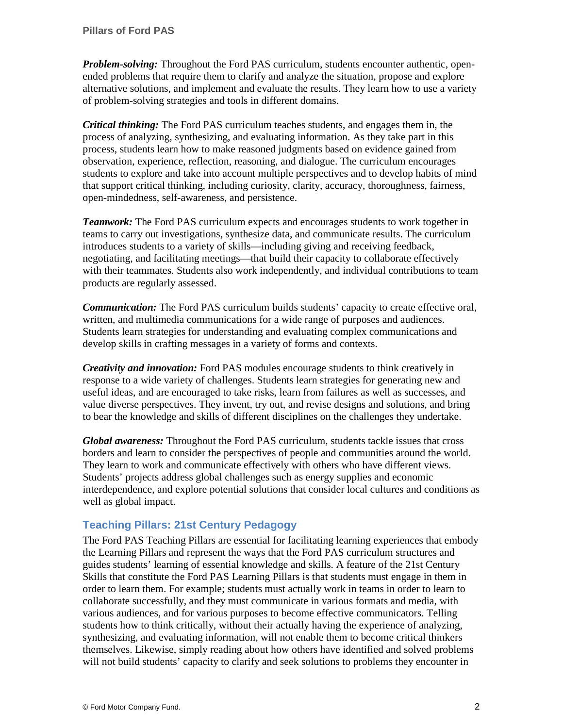*Problem-solving:* Throughout the Ford PAS curriculum, students encounter authentic, openended problems that require them to clarify and analyze the situation, propose and explore alternative solutions, and implement and evaluate the results. They learn how to use a variety of problem-solving strategies and tools in different domains.

*Critical thinking:* The Ford PAS curriculum teaches students, and engages them in, the process of analyzing, synthesizing, and evaluating information. As they take part in this process, students learn how to make reasoned judgments based on evidence gained from observation, experience, reflection, reasoning, and dialogue. The curriculum encourages students to explore and take into account multiple perspectives and to develop habits of mind that support critical thinking, including curiosity, clarity, accuracy, thoroughness, fairness, open-mindedness, self-awareness, and persistence.

*Teamwork:* The Ford PAS curriculum expects and encourages students to work together in teams to carry out investigations, synthesize data, and communicate results. The curriculum introduces students to a variety of skills—including giving and receiving feedback, negotiating, and facilitating meetings—that build their capacity to collaborate effectively with their teammates. Students also work independently, and individual contributions to team products are regularly assessed.

*Communication:* The Ford PAS curriculum builds students' capacity to create effective oral, written, and multimedia communications for a wide range of purposes and audiences. Students learn strategies for understanding and evaluating complex communications and develop skills in crafting messages in a variety of forms and contexts.

*Creativity and innovation:* Ford PAS modules encourage students to think creatively in response to a wide variety of challenges. Students learn strategies for generating new and useful ideas, and are encouraged to take risks, learn from failures as well as successes, and value diverse perspectives. They invent, try out, and revise designs and solutions, and bring to bear the knowledge and skills of different disciplines on the challenges they undertake.

*Global awareness:* Throughout the Ford PAS curriculum, students tackle issues that cross borders and learn to consider the perspectives of people and communities around the world. They learn to work and communicate effectively with others who have different views. Students' projects address global challenges such as energy supplies and economic interdependence, and explore potential solutions that consider local cultures and conditions as well as global impact.

## **Teaching Pillars: 21st Century Pedagogy**

The Ford PAS Teaching Pillars are essential for facilitating learning experiences that embody the Learning Pillars and represent the ways that the Ford PAS curriculum structures and guides students' learning of essential knowledge and skills. A feature of the 21st Century Skills that constitute the Ford PAS Learning Pillars is that students must engage in them in order to learn them. For example; students must actually work in teams in order to learn to collaborate successfully, and they must communicate in various formats and media, with various audiences, and for various purposes to become effective communicators. Telling students how to think critically, without their actually having the experience of analyzing, synthesizing, and evaluating information, will not enable them to become critical thinkers themselves. Likewise, simply reading about how others have identified and solved problems will not build students' capacity to clarify and seek solutions to problems they encounter in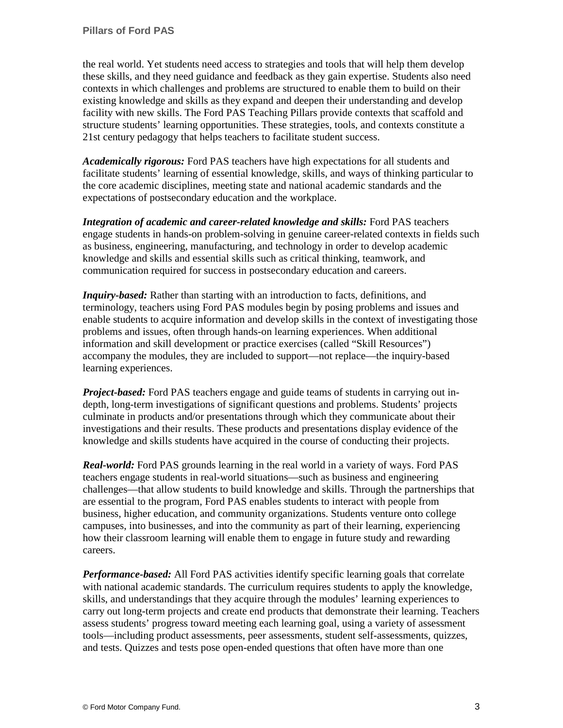the real world. Yet students need access to strategies and tools that will help them develop these skills, and they need guidance and feedback as they gain expertise. Students also need contexts in which challenges and problems are structured to enable them to build on their existing knowledge and skills as they expand and deepen their understanding and develop facility with new skills. The Ford PAS Teaching Pillars provide contexts that scaffold and structure students' learning opportunities. These strategies, tools, and contexts constitute a 21st century pedagogy that helps teachers to facilitate student success.

*Academically rigorous:* Ford PAS teachers have high expectations for all students and facilitate students' learning of essential knowledge, skills, and ways of thinking particular to the core academic disciplines, meeting state and national academic standards and the expectations of postsecondary education and the workplace.

*Integration of academic and career-related knowledge and skills:* Ford PAS teachers engage students in hands-on problem-solving in genuine career-related contexts in fields such as business, engineering, manufacturing, and technology in order to develop academic knowledge and skills and essential skills such as critical thinking, teamwork, and communication required for success in postsecondary education and careers.

*Inquiry-based:* Rather than starting with an introduction to facts, definitions, and terminology, teachers using Ford PAS modules begin by posing problems and issues and enable students to acquire information and develop skills in the context of investigating those problems and issues, often through hands-on learning experiences. When additional information and skill development or practice exercises (called "Skill Resources") accompany the modules, they are included to support—not replace—the inquiry-based learning experiences.

*Project-based:* Ford PAS teachers engage and guide teams of students in carrying out indepth, long-term investigations of significant questions and problems. Students' projects culminate in products and/or presentations through which they communicate about their investigations and their results. These products and presentations display evidence of the knowledge and skills students have acquired in the course of conducting their projects.

*Real-world:* Ford PAS grounds learning in the real world in a variety of ways. Ford PAS teachers engage students in real-world situations—such as business and engineering challenges—that allow students to build knowledge and skills. Through the partnerships that are essential to the program, Ford PAS enables students to interact with people from business, higher education, and community organizations. Students venture onto college campuses, into businesses, and into the community as part of their learning, experiencing how their classroom learning will enable them to engage in future study and rewarding careers.

*Performance-based:* All Ford PAS activities identify specific learning goals that correlate with national academic standards. The curriculum requires students to apply the knowledge, skills, and understandings that they acquire through the modules' learning experiences to carry out long-term projects and create end products that demonstrate their learning. Teachers assess students' progress toward meeting each learning goal, using a variety of assessment tools—including product assessments, peer assessments, student self-assessments, quizzes, and tests. Quizzes and tests pose open-ended questions that often have more than one